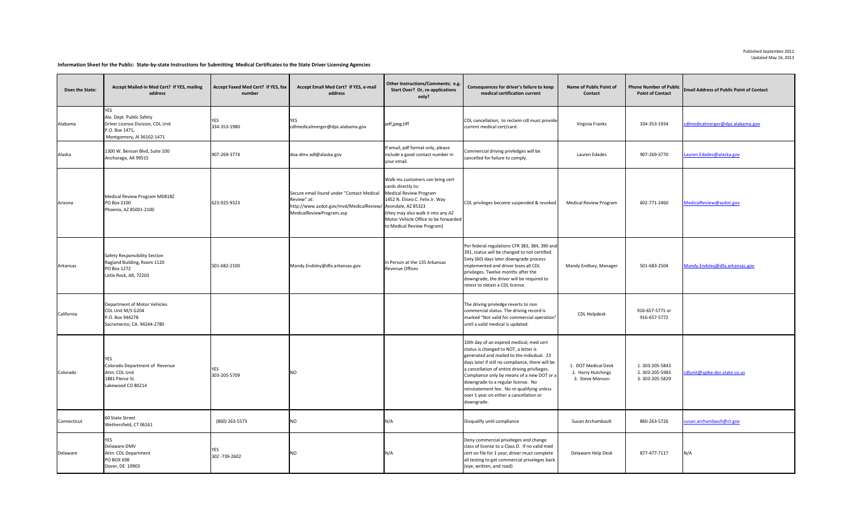## **Information Sheet for the Public: State-by-state Instructions for Submitting Medical Certificates to the State Driver Licensing Agencies**

| <b>Does the State:</b> | Accept Mailed-in Med Cert? If YES, mailing<br>address                                                               | Accept Faxed Med Cert? If YES, fax<br>number | Accept Email Med Cert? If YES, e-mail<br>address                                                                                                   | Other Instructions/Comments; e.g.<br><b>Start Over? Or, re-applications</b><br>only?                                                                                                                                                    | Consequences for driver's failure to keep<br>medical certification current                                                                                                                                                                                                                                                                                                                                                     | <b>Name of Public Point of</b><br><b>Contact</b>             | <b>Point of Contact</b>                             | Phone Number of Public Email Address of Public Point of Contact |
|------------------------|---------------------------------------------------------------------------------------------------------------------|----------------------------------------------|----------------------------------------------------------------------------------------------------------------------------------------------------|-----------------------------------------------------------------------------------------------------------------------------------------------------------------------------------------------------------------------------------------|--------------------------------------------------------------------------------------------------------------------------------------------------------------------------------------------------------------------------------------------------------------------------------------------------------------------------------------------------------------------------------------------------------------------------------|--------------------------------------------------------------|-----------------------------------------------------|-----------------------------------------------------------------|
| Alabama                | YES<br>Ala. Dept. Public Safety<br>Driver License Division, CDL Unit<br>P.O. Box 1471,<br>Montgomery, Al 36102-1471 | 334-353-1980                                 | YES<br>cdlmedicalmerger@dps.alabama.gov                                                                                                            | pdf,jpeg,tiff                                                                                                                                                                                                                           | CDL cancellation; to reclaim cdl must provide<br>current medical cert/card.                                                                                                                                                                                                                                                                                                                                                    | Virginia Franks                                              | 334-353-1934                                        | cdImedicalmerger@dps.alabama.gov                                |
| Alaska                 | 1300 W. Benson Blvd, Suite 100<br>Anchorage, AK 99515                                                               | 907-269-3774                                 | doa.dmv.adl@alaska.gov                                                                                                                             | If email, pdf format only, please<br>include a good contact number in<br>your email.                                                                                                                                                    | Commercial driving privledges will be<br>cancelled for failure to comply.                                                                                                                                                                                                                                                                                                                                                      | Lauren Edades                                                | 907-269-3770                                        | Lauren. Edades@alaska.gov                                       |
| Arizona                | Medical Review Program MD818Z<br><b>PO Box 2100</b><br>Phoenix, AZ 85001-2100                                       | 623-925-9323                                 | Secure email found under "Contact Medical<br>Review" at:<br>http://www.azdot.gov/mvd/MedicalReview/ Avondale, AZ 85323<br>MedicalReviewProgram.asp | Walk-ins customers can bring cert<br>cards directly to:<br><b>Medical Review Program</b><br>1452 N. Eliseo C. Felix Jr. Way<br>(they may also walk it into any AZ<br>Motor Vehicle Office to be forwarded<br>to Medical Review Program) | CDL privileges become suspended & revoked                                                                                                                                                                                                                                                                                                                                                                                      | <b>Medical Review Program</b>                                | 602-771-2460                                        | MedicalReview@azdot.gov                                         |
| Arkansas               | <b>Safety Responsibility Section</b><br>Ragland Building, Room 1120<br><b>PO Box 1272</b><br>Little Rock, AR, 72203 | 501-682-2100                                 | Mandy.Endsley@dfa.arkansas.gov                                                                                                                     | In Person at the 135 Arkansas<br><b>Revenue Offices</b>                                                                                                                                                                                 | Per federal regulations CFR 383, 384, 390 and<br>391, status will be changed to not certified.<br>Sixty (60) days later downgrade process<br>implemented and driver loses all CDL<br>privileges. Twelve months after the<br>downgrade, the driver will be required to<br>retest to obtain a CDL license.                                                                                                                       | Mandy Endlsey, Manager                                       | 501-683-2504                                        | Mandy.Endsley@dfa.arkansas.gov                                  |
| California             | Department of Motor Vehicles<br>CDL Unit M/S G204<br>P.O. Box 944278<br>Sacramento, CA. 94244-2780                  |                                              |                                                                                                                                                    |                                                                                                                                                                                                                                         | The driving privledge reverts to non<br>commercial status. The driving record is<br>marked "Not valid for commercial operation"<br>until a valid medical is updated.                                                                                                                                                                                                                                                           | CDL Helpdesk                                                 | 916-657-5771 or<br>916-657-5772                     |                                                                 |
| Colorado               | YES<br>Colorado Department of Revenue<br>Attn: CDL Unit<br>1881 Pierce St.<br>Lakewood CO 80214                     | ES<br>303-205-5709                           | ΝO                                                                                                                                                 |                                                                                                                                                                                                                                         | 10th day of an expired medical, med cert<br>status is changed to NOT, a letter is<br>generated and mailed to the indivdual. 23<br>days later if still no compliance, there will be<br>a cancellation of entire driving privilieges.<br>Compliance only by means of a new DOT or a<br>downgrade to a regular license. No<br>reinstatement fee. No re-qualifying unless<br>over 1 year on either a cancellation or<br>downgrade. | 1. DOT Medical Desk<br>2. Harry Hutchings<br>3. Steve Monson | 1.303-205-5843<br>2.303-205-5983<br>3. 303-205-5829 | cdlunit@spike.dor.state.co.us                                   |
| Connecticut            | 60 State Street<br>Wethersfield, CT 06161                                                                           | (860) 263-5573                               | NO                                                                                                                                                 | N/A                                                                                                                                                                                                                                     | Disqualify until compliance                                                                                                                                                                                                                                                                                                                                                                                                    | Susan Archambault                                            | 860-263-5726                                        | susan.archambault@ct.gov                                        |
| Delaware               | <b>YES</b><br>Delaware DMV<br>Attn: CDL Department<br><b>PO BOX 698</b><br>Dover, DE 19903                          | 302 - 739 - 2602                             | ΝO                                                                                                                                                 | N/A                                                                                                                                                                                                                                     | Deny commercial priveleges and change<br>class of license to a Class D. If no valid med<br>cert on file for 1 year, driver must complete<br>all testing to get commercial priveleges back.<br>(eye, written, and road)                                                                                                                                                                                                         | Delaware Help Desk                                           | 877-477-7117                                        | N/A                                                             |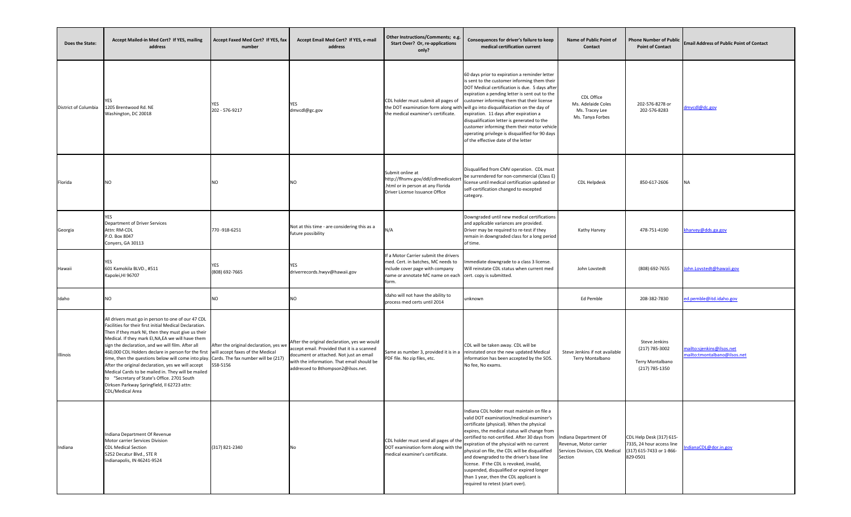| Does the State:      | Accept Mailed-in Med Cert? If YES, mailing<br>address                                                                                                                                                                                                                                                                                                                                                                                                                                                                                                                                                                                                                                                  | Accept Faxed Med Cert? If YES, fax<br>number       | Accept Email Med Cert? If YES, e-mail<br>address                                                                                                                                                                           | Other Instructions/Comments; e.g.<br><b>Start Over? Or, re-applications</b><br>only?                                                                                                 | Consequences for driver's failure to keep<br>medical certification current                                                                                                                                                                                                                                                                                                                                                                                                                                                                                            | <b>Name of Public Point of</b><br><b>Contact</b>                                             | <b>Point of Contact</b>                                                                       | Phone Number of Public Email Address of Public Point of Contact |
|----------------------|--------------------------------------------------------------------------------------------------------------------------------------------------------------------------------------------------------------------------------------------------------------------------------------------------------------------------------------------------------------------------------------------------------------------------------------------------------------------------------------------------------------------------------------------------------------------------------------------------------------------------------------------------------------------------------------------------------|----------------------------------------------------|----------------------------------------------------------------------------------------------------------------------------------------------------------------------------------------------------------------------------|--------------------------------------------------------------------------------------------------------------------------------------------------------------------------------------|-----------------------------------------------------------------------------------------------------------------------------------------------------------------------------------------------------------------------------------------------------------------------------------------------------------------------------------------------------------------------------------------------------------------------------------------------------------------------------------------------------------------------------------------------------------------------|----------------------------------------------------------------------------------------------|-----------------------------------------------------------------------------------------------|-----------------------------------------------------------------|
| District of Columbia | YES.<br>1205 Brentwood Rd. NE<br>Washington, DC 20018                                                                                                                                                                                                                                                                                                                                                                                                                                                                                                                                                                                                                                                  | YES<br>202 - 576-9217                              | YES<br>dmvcdl@gc.gov                                                                                                                                                                                                       | CDL holder must submit all pages of<br>the medical examiner's certificate.                                                                                                           | 60 days prior to expiration a reminder letter<br>is sent to the customer informing them their<br>DOT Medical certification is due. 5 days after<br>expiration a pending letter is sent out to the<br>customer informing them that their license<br>the DOT examination form along with will go into disqualifaication on the day of<br>expiration. 11 days after expiration a<br>disqualification letter is generated to the<br>customer informing them their motor vehicle<br>operating privilege is disqualified for 90 days<br>of the effective date of the letter | CDL Office<br>Ms. Adelaide Coles<br>Ms. Tracey Lee<br>Ms. Tanya Forbes                       | 202-576-8278 or<br>202-576-8283                                                               | dmvcdl@dc.gov                                                   |
| Florida              |                                                                                                                                                                                                                                                                                                                                                                                                                                                                                                                                                                                                                                                                                                        | ΝO                                                 | <b>NO</b>                                                                                                                                                                                                                  | Submit online at<br>http://flhsmv.gov/ddl/cdlmedicalcert<br>.html or in person at any Florida<br>Driver License Issuance Office                                                      | Disqualified from CMV operation. CDL must<br>be surrendered for non-commercial (Class E)<br>license until medical certification updated or<br>self-certification changed to excepted<br>category.                                                                                                                                                                                                                                                                                                                                                                     | <b>CDL Helpdesk</b>                                                                          | 850-617-2606                                                                                  | <b>NA</b>                                                       |
| Georgia              | <b>Department of Driver Services</b><br>Attn: RM-CDL<br>P.O. Box 8047<br>Conyers, GA 30113                                                                                                                                                                                                                                                                                                                                                                                                                                                                                                                                                                                                             | 770-918-6251                                       | Not at this time - are considering this as a<br>future possibility                                                                                                                                                         | N/A                                                                                                                                                                                  | Downgraded until new medical certifications<br>and applicable variances are provided.<br>Driver may be required to re-test if they<br>remain in downgraded class for a long period<br>of time.                                                                                                                                                                                                                                                                                                                                                                        | Kathy Harvey                                                                                 | 478-751-4190                                                                                  | kharvey@dds.ga.gov                                              |
| Hawaii               | 601 Kamokila BLVD., #511<br>Kapolei, HI 96707                                                                                                                                                                                                                                                                                                                                                                                                                                                                                                                                                                                                                                                          | YES<br>(808) 692-7665                              | YES<br>driverrecords.hwyv@hawaii.gov                                                                                                                                                                                       | If a Motor Carrier submit the drivers<br>med. Cert. in batches, MC needs to<br>include cover page with company<br>name or annotate MC name on each cert. copy is submitted.<br>form. | mmediate downgrade to a class 3 license.<br>Will reinstate CDL status when current med                                                                                                                                                                                                                                                                                                                                                                                                                                                                                | John Lovstedt                                                                                | (808) 692-7655                                                                                | John.Lovstedt@hawaii.gov                                        |
| Idaho                |                                                                                                                                                                                                                                                                                                                                                                                                                                                                                                                                                                                                                                                                                                        | NΟ                                                 | NO.                                                                                                                                                                                                                        | Idaho will not have the ability to<br>process med certs until 2014                                                                                                                   | unknown                                                                                                                                                                                                                                                                                                                                                                                                                                                                                                                                                               | Ed Pemble                                                                                    | 208-382-7830                                                                                  | ed.pemble@itd.idaho.gov                                         |
| Illinois             | All drivers must go in person to one of our 47 CDL<br>Facilities for their first initial Medical Declaration.<br>Then if they mark NI, then they must give us their<br>Medical. If they mark EI, NA, EA we will have them<br>sign the declaration, and we will film. After all<br>460,000 CDL Holders declare in person for the first will accept faxes of the Medical<br>time, then the questions below will come into play. Cards. The fax number will be (217)<br>After the original declaration, yes we will accept<br>Medical Cards to be mailed in. They will be mailed<br>to "Secretary of State's Office. 2701 South<br>Dirksen Parkway Springfield, Il 62723 attn:<br><b>CDL/Medical Area</b> | After the original declaration, yes we<br>558-5156 | After the original declaration, yes we would<br>accept email. Provided that it is a scanned<br>document or attached. Not just an email<br>with the information. That email should be<br>addressed to Bthompson2@ilsos.net. | Same as number 3, provided it is in a<br>PDF file. No zip files, etc.                                                                                                                | CDL will be taken away. CDL will be<br>reinstated once the new updated Medical<br>information has been accepted by the SOS.<br>No fee, No exams.                                                                                                                                                                                                                                                                                                                                                                                                                      | Steve Jenkins if not available<br>Terry Montalbano                                           | Steve Jenkins<br>$(217) 785 - 3002$<br>Terry Montalbano<br>(217) 785-1350                     | mailto: sjenkins@ilsos.net<br>mailto:tmontalbano@ilsos.net      |
| Indiana              | Indiana Department Of Revenue<br>Motor carrier Services Division<br><b>CDL Medical Section</b><br>5252 Decatur Blvd., STE R<br>Indianapolis, IN 46241-9524                                                                                                                                                                                                                                                                                                                                                                                                                                                                                                                                             | (317) 821-2340                                     | No                                                                                                                                                                                                                         | CDL holder must send all pages of the<br>DOT examination form along with the<br>medical examiner's certificate.                                                                      | Indiana CDL holder must maintain on file a<br>valid DOT examination/medical examiner's<br>certificate (physical). When the physical<br>expires, the medical status will change from<br>certified to not-certified. After 30 days from<br>expiration of the physical with no current<br>physical on file, the CDL will be disqualified<br>and downgraded to the driver's base line<br>license. If the CDL is revoked, invalid,<br>suspended, disqualified or expired longer<br>than 1 year, then the CDL applicant is<br>required to retest (start over).              | Indiana Department Of<br>Revenue, Motor carrier<br>Services Division, CDL Medical<br>Section | CDL Help Desk (317) 615-<br>7335, 24 hour access line<br>(317) 615-7433 or 1-866-<br>829-0501 | IndianaCDL@dor.in.gov                                           |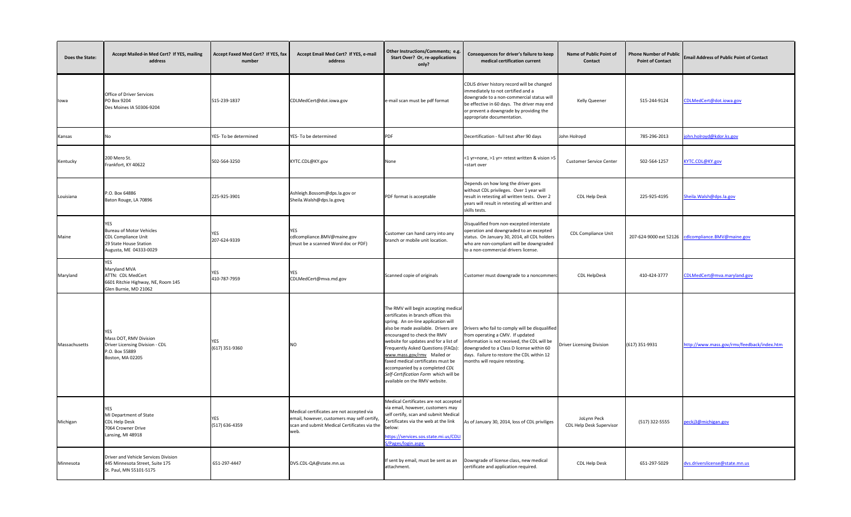| <b>Does the State:</b> | Accept Mailed-in Med Cert? If YES, mailing<br>address                                                             | Accept Faxed Med Cert? If YES, fax<br>number | Accept Email Med Cert? If YES, e-mail<br>address                                                                                                 | Other Instructions/Comments; e.g.<br><b>Start Over? Or, re-applications</b><br>only?                                                                                                                                                                                                                                                                                                                                                                    | Consequences for driver's failure to keep<br>medical certification current                                                                                                                                                                                       | <b>Name of Public Point of</b><br><b>Contact</b> | <b>Phone Number of Public</b><br><b>Point of Contact</b> | <b>Email Address of Public Point of Contact</b>    |
|------------------------|-------------------------------------------------------------------------------------------------------------------|----------------------------------------------|--------------------------------------------------------------------------------------------------------------------------------------------------|---------------------------------------------------------------------------------------------------------------------------------------------------------------------------------------------------------------------------------------------------------------------------------------------------------------------------------------------------------------------------------------------------------------------------------------------------------|------------------------------------------------------------------------------------------------------------------------------------------------------------------------------------------------------------------------------------------------------------------|--------------------------------------------------|----------------------------------------------------------|----------------------------------------------------|
| lowa                   | <b>Office of Driver Services</b><br>PO Box 9204<br>Des Moines IA 50306-9204                                       | 515-239-1837                                 | CDLMedCert@dot.iowa.gov                                                                                                                          | e-mail scan must be pdf format                                                                                                                                                                                                                                                                                                                                                                                                                          | CDLIS driver history record will be changed<br>immediately to not certified and a<br>downgrade to a non-commercial status will<br>be effective in 60 days. The driver may end<br>or prevent a downgrade by providing the<br>appropriate documentation.           | <b>Kelly Queener</b>                             | 515-244-9124                                             | CDLMedCert@dot.iowa.gov                            |
| Kansas                 |                                                                                                                   | YES- To be determined                        | YES- To be determined                                                                                                                            | PDF                                                                                                                                                                                                                                                                                                                                                                                                                                                     | Decertification - full test after 90 days                                                                                                                                                                                                                        | John Holroyd                                     | 785-296-2013                                             | john.holroyd@kdor.ks.gov                           |
| Kentucky               | 200 Mero St.<br>Frankfort, KY 40622                                                                               | 502-564-3250                                 | KYTC.CDL@KY.gov                                                                                                                                  | None                                                                                                                                                                                                                                                                                                                                                                                                                                                    | <1 yr=none, >1 yr= retest written & vision >5<br>=start over                                                                                                                                                                                                     | <b>Customer Service Center</b>                   | 502-564-1257                                             | KYTC.CDL@KY.gov                                    |
| Louisiana              | P.O. Box 64886<br>Baton Rouge, LA 70896                                                                           | 225-925-3901                                 | Ashleigh.Bossom@dps.la.gov or<br>Sheila. Walsh@dps.la.govq                                                                                       | PDF format is acceptable                                                                                                                                                                                                                                                                                                                                                                                                                                | Depends on how long the driver goes<br>without CDL privileges. Over 1 year will<br>result in retesting all written tests. Over 2<br>years will result in retesting all written and<br>skills tests.                                                              | CDL Help Desk                                    | 225-925-4195                                             | Sheila. Walsh@dps.la.gov                           |
| Maine                  | <b>Bureau of Motor Vehicles</b><br><b>CDL Compliance Unit</b><br>29 State House Station<br>Augusta, ME 04333-0029 | YES<br>207-624-9339                          | YES<br>cdlcompliance.BMV@maine.gov<br>(must be a scanned Word doc or PDF)                                                                        | Customer can hand carry into any<br>branch or mobile unit location.                                                                                                                                                                                                                                                                                                                                                                                     | Disqualified from non-excepted interstate<br>operation and downgraded to an excepted<br>status. On January 30, 2014, all CDL holders<br>who are non-compliant will be downgraded<br>to a non-commercial drivers license.                                         | <b>CDL Compliance Unit</b>                       |                                                          | 207-624-9000 ext 52126 cdlcompliance.BMV@maine.gov |
| Maryland               | <b>YES</b><br>Maryland MVA<br>ATTN: CDL MedCert<br>6601 Ritchie Highway, NE, Room 145<br>Glen Burnie, MD 21062    | YES<br>410-787-7959                          | YES<br>CDLMedCert@mva.md.gov                                                                                                                     | Scanned copie of originals                                                                                                                                                                                                                                                                                                                                                                                                                              | Customer must downgrade to a noncommerc                                                                                                                                                                                                                          | <b>CDL HelpDesk</b>                              | 410-424-3777                                             | CDLMedCert@mva.maryland.gov                        |
| Massachusetts          | YES<br>Mass DOT, RMV Division<br>Driver Licensing Division - CDL<br>P.O. Box 55889<br>Boston, MA 02205            | YES<br>(617) 351-9360                        | <b>NO</b>                                                                                                                                        | The RMV will begin accepting medical<br>certificates in branch offices this<br>spring. An on-line application will<br>also be made available. Drivers are<br>encouraged to check the RMV<br>website for updates and for a list of<br>Frequently Asked Questions (FAQs):<br>www.mass.gov/rmv Mailed or<br>faxed medical certificates must be<br>accompanied by a completed CDL<br>Self-Certification Form which will be<br>available on the RMV website. | Drivers who fail to comply will be disqualified<br>from operating a CMV. If updated<br>information is not received, the CDL will be<br>downgraded to a Class D license within 60<br>days. Failure to restore the CDL within 12<br>months will require retesting. | <b>Driver Licensing Division</b>                 | (617) 351-9931                                           | http://www.mass.gov/rmv/feedback/index.htm         |
| Michigan               | MI Department of State<br><b>CDL Help Desk</b><br>7064 Crowner Drive<br>Lansing, MI 48918                         | YES<br>(517) 636-4359                        | Medical certificates are not accepted via<br>email, however, customers may self certify,<br>scan and submit Medical Certificates via the<br>web. | Medical Certificates are not accepted<br>via email, however, customers may<br>self certify, scan and submit Medical<br>Certificates via the web at the link<br>below:<br>https://services.sos.state.mi.us/CDLI<br>S/Pages/login.aspx                                                                                                                                                                                                                    | As of January 30, 2014, loss of CDL priviliges                                                                                                                                                                                                                   | JoLynn Peck<br>CDL Help Desk Supervisor          | (517) 322-5555                                           | peckj3@michigan.gov                                |
| Minnesota              | Driver and Vehicle Services Division<br>445 Minnesota Street, Suite 175<br>St. Paul, MN 55101-5175                | 651-297-4447                                 | DVS.CDL-QA@state.mn.us                                                                                                                           | If sent by email, must be sent as an<br>attachment.                                                                                                                                                                                                                                                                                                                                                                                                     | Downgrade of license class, new medical<br>certificate and application required.                                                                                                                                                                                 | CDL Help Desk                                    | 651-297-5029                                             | dvs.driverslicense@state.mn.us                     |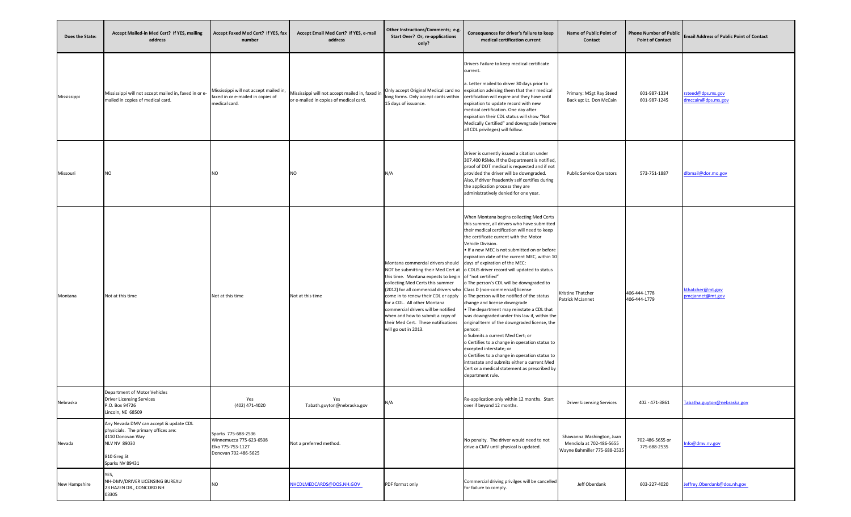| <b>Does the State:</b> | Accept Mailed-in Med Cert? If YES, mailing<br>address                                                                                                       | Accept Faxed Med Cert? If YES, fax<br>number                                                 | Accept Email Med Cert? If YES, e-mail<br>address                                          | Other Instructions/Comments; e.g.<br><b>Start Over? Or, re-applications</b><br>only?                                                                                                                                                                                                                                                                                                                                                                      | Consequences for driver's failure to keep<br>medical certification current                                                                                                                                                                                                                                                                                                                                                                                                                                                                                                                                                                                                                                                                                                                                                                                                                                                                                              | <b>Name of Public Point of</b><br><b>Contact</b>                                      | <b>Phone Number of Public</b><br><b>Point of Contact</b> | <b>Email Address of Public Point of Contact</b> |
|------------------------|-------------------------------------------------------------------------------------------------------------------------------------------------------------|----------------------------------------------------------------------------------------------|-------------------------------------------------------------------------------------------|-----------------------------------------------------------------------------------------------------------------------------------------------------------------------------------------------------------------------------------------------------------------------------------------------------------------------------------------------------------------------------------------------------------------------------------------------------------|-------------------------------------------------------------------------------------------------------------------------------------------------------------------------------------------------------------------------------------------------------------------------------------------------------------------------------------------------------------------------------------------------------------------------------------------------------------------------------------------------------------------------------------------------------------------------------------------------------------------------------------------------------------------------------------------------------------------------------------------------------------------------------------------------------------------------------------------------------------------------------------------------------------------------------------------------------------------------|---------------------------------------------------------------------------------------|----------------------------------------------------------|-------------------------------------------------|
| Mississippi            | Mississippi will not accept mailed in, faxed in or e-<br>mailed in copies of medical card.                                                                  | Mississippi will not accept mailed in,<br>faxed in or e-mailed in copies of<br>medical card. | Mississippi will not accept mailed in, faxed in<br>or e-mailed in copies of medical card. | 15 days of issuance.                                                                                                                                                                                                                                                                                                                                                                                                                                      | Drivers Failure to keep medical certificate<br>current.<br>a. Letter mailed to driver 30 days prior to<br>Only accept Original Medical card no expiration advising them that their medical<br>long forms. Only accept cards within certification will expire and they have until<br>expiration to update record with new<br>medical certification. One day after<br>expiration their CDL status will show "Not<br>Medically Certified" and downgrade (remove<br>all CDL privileges) will follow.                                                                                                                                                                                                                                                                                                                                                                                                                                                                        | Primary: MSgt Ray Steed<br>Back up: Lt. Don McCain                                    | 601-987-1334<br>601-987-1245                             | rsteed@dps.ms.gov<br>dmccain@dps.ms.gov         |
| Missouri               | <b>NO</b>                                                                                                                                                   | NΩ                                                                                           | NΟ                                                                                        | N/A                                                                                                                                                                                                                                                                                                                                                                                                                                                       | Driver is currently issued a citation under<br>307.400 RSMo. If the Department is notified,<br>proof of DOT medical is requested and if not<br>provided the driver will be downgraded.<br>Also, if driver fraudently self certifies during<br>the application process they are<br>administratively denied for one year.                                                                                                                                                                                                                                                                                                                                                                                                                                                                                                                                                                                                                                                 | <b>Public Service Operators</b>                                                       | 573-751-1887                                             | dlbmail@dor.mo.gov                              |
| Montana                | Not at this time                                                                                                                                            | Not at this time                                                                             | Not at this time                                                                          | Montana commercial drivers should days of expiration of the MEC:<br>this time. Montana expects to begin of "not certified"<br>collecting Med Certs this summer<br>(2012) for all commercial drivers who Class D (non-commercial) license<br>come in to renew their CDL or apply<br>for a CDL. All other Montana<br>commercial drivers will be notified<br>when and how to submit a copy of<br>their Med Cert. These notifications<br>will go out in 2013. | When Montana begins collecting Med Certs<br>this summer, all drivers who have submitted<br>their medical certification will need to keep<br>the certificate current with the Motor<br>Vehicle Division.<br>Io If a new MEC is not submitted on or before<br>expiration date of the current MEC, within 10<br>NOT be submitting their Med Cert at lo CDLIS driver record will updated to status<br>o The person's CDL will be downgraded to<br>o The person will be notified of the status<br>change and license downgrade<br>• The department may reinstate a CDL that<br>was downgraded under this law if, within the<br>original term of the downgraded license, the<br>person:<br>o Submits a current Med Cert; or<br>o Certifies to a change in operation status to<br>excepted interstate; or<br>o Certifies to a change in operation status to<br>intrastate and submits either a current Med<br>Cert or a medical statement as prescribed by<br>department rule. | Kristine Thatcher<br><b>Patrick McJannet</b>                                          | 406-444-1778<br>406-444-1779                             | kthatcher@mt.gov<br>pmcjannet@mt.gov            |
| Nebraska               | Department of Motor Vehicles<br><b>Driver Licensing Services</b><br>P.O. Box 94726<br>Lincoln, NE 68509                                                     | Yes<br>(402) 471-4020                                                                        | Yes<br>Tabath.guyton@nebraska.gov                                                         | N/A                                                                                                                                                                                                                                                                                                                                                                                                                                                       | Re-application only within 12 months. Start<br>over if beyond 12 months.                                                                                                                                                                                                                                                                                                                                                                                                                                                                                                                                                                                                                                                                                                                                                                                                                                                                                                | <b>Driver Licensing Services</b>                                                      | 402 - 471-3861                                           | Tabatha.guyton@nebraska.gov                     |
| Nevada                 | Any Nevada DMV can accept & update CDL<br>physicials. The primary offices are:<br>4110 Donovan Way<br><b>NLV NV 89030</b><br>810 Greg St<br>Sparks NV 89431 | Sparks 775-688-2536<br>Winnemucca 775-623-6508<br>Elko 775-753-1127<br>Donovan 702-486-5625  | Not a preferred method.                                                                   |                                                                                                                                                                                                                                                                                                                                                                                                                                                           | No penalty. The driver would need to not<br>drive a CMV until physical is updated.                                                                                                                                                                                                                                                                                                                                                                                                                                                                                                                                                                                                                                                                                                                                                                                                                                                                                      | Shawanna Washington, Juan<br>Mendiola at 702-486-5655<br>Wayne Bahmiller 775-688-2535 | 702-486-5655 or<br>775-688-2535                          | nfo@dmv.nv.gov                                  |
| New Hampshire          | YES,<br>NH-DMV/DRIVER LICENSING BUREAU<br>23 HAZEN DR., CONCORD NH<br>03305                                                                                 | <b>NO</b>                                                                                    | NHCDLMEDCARDS@DOS.NH.GOV                                                                  | PDF format only                                                                                                                                                                                                                                                                                                                                                                                                                                           | Commercial driving privilges will be cancelled<br>for failure to comply.                                                                                                                                                                                                                                                                                                                                                                                                                                                                                                                                                                                                                                                                                                                                                                                                                                                                                                | Jeff Oberdank                                                                         | 603-227-4020                                             | Jeffrey.Oberdank@dos.nh.gov                     |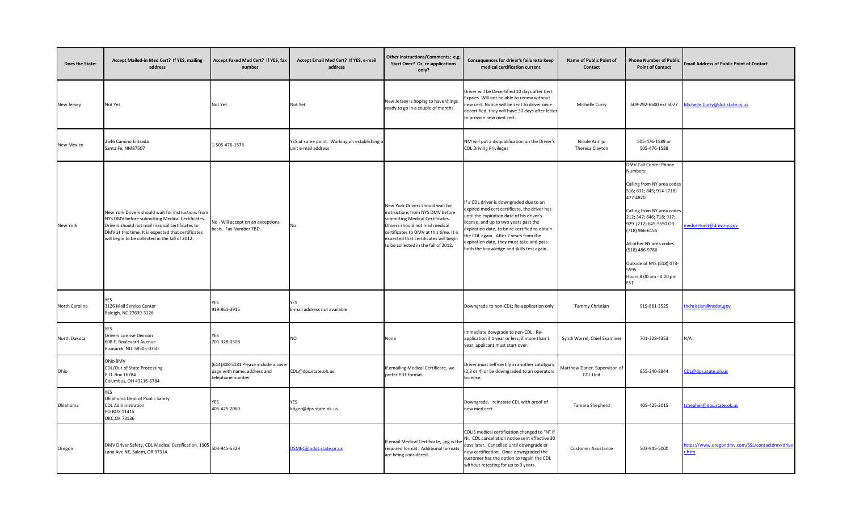| Does the State:   | Accept Mailed-in Med Cert? If YES, mailing<br>address                                                                                                                                                                                                             | Accept Faxed Med Cert? If YES, fax<br>number                                            | Accept Email Med Cert? If YES, e-mail<br>address                    | Other Instructions/Comments; e.g.<br><b>Start Over? Or, re-applications</b><br>only?                                                                                                                                                                                    | <b>Consequences for driver's failure to keep</b><br>medical certification current                                                                                                                                                                                                                                                                                | <b>Name of Public Point of</b><br><b>Contact</b> | <b>Phone Number of Public</b><br><b>Point of Contact</b>                                                                                                                                                                                                                                                                                 | <b>Email Address of Public Point of Contact</b>        |
|-------------------|-------------------------------------------------------------------------------------------------------------------------------------------------------------------------------------------------------------------------------------------------------------------|-----------------------------------------------------------------------------------------|---------------------------------------------------------------------|-------------------------------------------------------------------------------------------------------------------------------------------------------------------------------------------------------------------------------------------------------------------------|------------------------------------------------------------------------------------------------------------------------------------------------------------------------------------------------------------------------------------------------------------------------------------------------------------------------------------------------------------------|--------------------------------------------------|------------------------------------------------------------------------------------------------------------------------------------------------------------------------------------------------------------------------------------------------------------------------------------------------------------------------------------------|--------------------------------------------------------|
| New Jersey        | Not Yet                                                                                                                                                                                                                                                           | Not Yet                                                                                 | Not Yet                                                             | New Jersey is hoping to have things<br>ready to go in a couple of months.                                                                                                                                                                                               | Driver will be Decertified 10 days after Cert<br>Expries. Will not be able to renew without<br>new cert. Notice will be sent to driver once<br>decertified, they will have 30 days after letter<br>to provide new med cert.                                                                                                                                      | Michelle Curry                                   |                                                                                                                                                                                                                                                                                                                                          |                                                        |
| <b>New Mexico</b> | 2546 Camino Entrada<br>Santa Fe, NM87507                                                                                                                                                                                                                          | 1-505-476-1578                                                                          | YES at some point. Working on establishing a<br>unit e-mail address |                                                                                                                                                                                                                                                                         | NM will put a disqualification on the Driver's<br><b>CDL Driving Privileges</b>                                                                                                                                                                                                                                                                                  | Nicole Armijo<br>Theresa Clayton                 | 505-476-1589 or<br>505-476-1588                                                                                                                                                                                                                                                                                                          |                                                        |
| New York          | New York Drivers should wait for instructions from<br>NYS DMV before submitting Medical Certificates.<br>Drivers should not mail medical certificates to<br>DMV at this time. It is expected that certificates<br>will begin to be collected in the fall of 2012. | No - Will accept on an exceptions<br>basis. Fax Number TBD.                             | <b>No</b>                                                           | New York Drivers should wait for<br>instructions from NYS DMV before<br>submitting Medical Certificates.<br>Drivers should not mail medical<br>certificates to DMV at this time. It is<br>expected that certificates will begin<br>to be collected in the fall of 2012. | If a CDL driver is downgraded due to an<br>expired med cert certificate, the driver has<br>until the expiration date of his driver's<br>license, and up to two years past the<br>expiration date, to be re-certified to obtain<br>the CDL again. After 2 years from the<br>expiration date, they must take and pass<br>both the knowledge and skills test again. |                                                  | <b>DMV Call Center Phone</b><br>Numbers:<br>Calling from NY area codes<br>516; 631; 845; 914 (718)<br>477-4820<br>Calling from NY area codes<br>212; 347; 646; 718; 917;<br>929 (212) 645-5550 OR<br>(718) 966-6155<br>All other NY area codes<br>(518) 486-9786<br>Outside of NYS (518) 473-<br>5595.<br>Hours 8:00 am - 4:00 pm<br>EST | medcertunit@dmv.ny.gov                                 |
| North Carolina    | YES<br>3126 Mail Service Center<br>Raleigh, NC 27699-3126                                                                                                                                                                                                         | YES<br>919-861-3915                                                                     | YES<br>E-mail address not available                                 |                                                                                                                                                                                                                                                                         | Downgrade to non-CDL; Re-application only                                                                                                                                                                                                                                                                                                                        | Tammy Christian                                  | 919-861-3525                                                                                                                                                                                                                                                                                                                             | thchristian@ncdot.gov                                  |
| North Dakota      | <b>YES</b><br><b>Drivers License Division</b><br>608 E. Boulevard Avenue<br>Bismarck, ND 58505-0750                                                                                                                                                               | YES<br>701-328-0308                                                                     | <b>NO</b>                                                           | None                                                                                                                                                                                                                                                                    | Immediate dowgrade to non-CDL. Re-<br>application if 1 year or less; if more than 1<br>year, applicant must start over.                                                                                                                                                                                                                                          | Syndi Worrel, Chief Examiner                     | 701-328-4353                                                                                                                                                                                                                                                                                                                             | N/A                                                    |
| Ohio              | Ohio BMV<br>CDL/Out of State Processing<br>P.O. Box 16784<br>Columbus, OH 43216-6784                                                                                                                                                                              | (614)308-5181 Please include a cover<br>page with name, address and<br>telephone number | CDL@dps.state.oh.us                                                 | If emailing Medical Certificate, we<br>prefer PDF format.                                                                                                                                                                                                               | Driver must self-certify in another catotgory<br>(2,3 or 4) or be downgraded to an operators<br>liccense.                                                                                                                                                                                                                                                        | Matthew Daner, Supervisor of<br><b>CDL Unit</b>  | 855-240-8844                                                                                                                                                                                                                                                                                                                             | CDL@dps.state.oh.us                                    |
| Oklahoma          | <b>YES</b><br>Oklahoma Dept of Public Safety<br><b>CDL</b> Administration<br>PO BOX 11415<br>OKC, OK 73136                                                                                                                                                        | YES<br>405-425-2060                                                                     | <b>YES</b><br>ktiger@dps.state.ok.us                                |                                                                                                                                                                                                                                                                         | Downgrade, reinstate CDL with proof of<br>new med cert.                                                                                                                                                                                                                                                                                                          | Tamara Shepherd                                  | 405-425-2015                                                                                                                                                                                                                                                                                                                             | tshepher@dps.state.ok.us                               |
| Oregon            | DMV Driver Safety, CDL Medical Certification, 1905 503-945-5329<br>Lana Ave NE, Salem, OR 97314                                                                                                                                                                   |                                                                                         | DSMEC@odot.state.or.us                                              | If email Medical Certificate, .jpg is the<br>required format. Additional formats<br>are being considered.                                                                                                                                                               | CDLIS medical certification changed to "N" if<br>NI. CDL cancellation notice sent effective 30<br>days later. Cancelled until downgrade or<br>new certification. Once downgraded the<br>customer has the option to regain the CDL<br>without retesting for up to 3 years.                                                                                        | <b>Customer Assistance</b>                       | 503-945-5000                                                                                                                                                                                                                                                                                                                             | https://www.oregondmv.com/SSL/contactdmv/drive<br>.htm |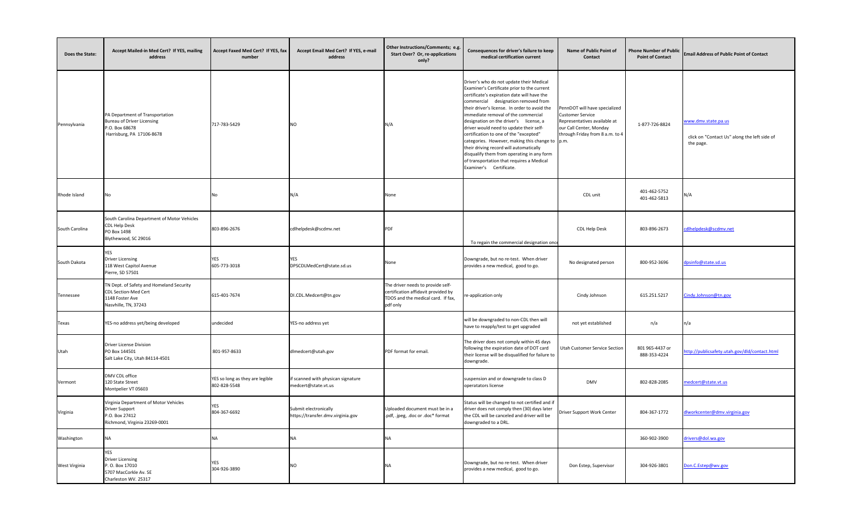| Does the State:      | Accept Mailed-in Med Cert? If YES, mailing<br>address                                                               | Accept Faxed Med Cert? If YES, fax<br>number    | Accept Email Med Cert? If YES, e-mail<br>address           | Other Instructions/Comments; e.g.<br><b>Start Over? Or, re-applications</b><br>only?                                       | Consequences for driver's failure to keep<br>medical certification current                                                                                                                                                                                                                                                                                                                                                                                                                                                                                                                                                       | <b>Name of Public Point of</b><br><b>Contact</b>                                                                                                       | <b>Phone Number of Public</b><br><b>Point of Contact</b> | <b>Email Address of Public Point of Contact</b>                                  |
|----------------------|---------------------------------------------------------------------------------------------------------------------|-------------------------------------------------|------------------------------------------------------------|----------------------------------------------------------------------------------------------------------------------------|----------------------------------------------------------------------------------------------------------------------------------------------------------------------------------------------------------------------------------------------------------------------------------------------------------------------------------------------------------------------------------------------------------------------------------------------------------------------------------------------------------------------------------------------------------------------------------------------------------------------------------|--------------------------------------------------------------------------------------------------------------------------------------------------------|----------------------------------------------------------|----------------------------------------------------------------------------------|
| Pennsylvania         | PA Department of Transportation<br><b>Bureau of Driver Licensing</b><br>P.O. Box 68678<br>Harrisburg, PA 17106-8678 | 717-783-5429                                    | <b>NO</b>                                                  | N/A                                                                                                                        | Driver's who do not update their Medical<br>Examiner's Certificate prior to the current<br>certificate's expiration date will have the<br>commercial designation removed from<br>their driver's license. In order to avoid the<br>immediate removal of the commercial<br>designation on the driver's license, a<br>driver would need to update their self-<br>certification to one of the "excepted"<br>categories. However, making this change to $\vert$ p.m.<br>their driving record will automatically<br>disqualify them from operating in any form<br>of transportation that requires a Medical<br>Examiner's Certificate. | PennDOT will have specialized<br><b>Customer Service</b><br>Representatives available at<br>our Call Center, Monday<br>through Friday from 8 a.m. to 4 | 1-877-726-8824                                           | www.dmv.state.pa.us<br>click on "Contact Us" along the left side of<br>the page. |
| Rhode Island         |                                                                                                                     | No.                                             | N/A                                                        | None                                                                                                                       |                                                                                                                                                                                                                                                                                                                                                                                                                                                                                                                                                                                                                                  | CDL unit                                                                                                                                               | 401-462-5752<br>401-462-5813                             | N/A                                                                              |
| South Carolina       | South Carolina Department of Motor Vehicles<br><b>CDL Help Desk</b><br>PO Box 1498<br>Blythewood, SC 29016          | 803-896-2676                                    | cdlhelpdesk@scdmv.net                                      | <b>PDF</b>                                                                                                                 | To regain the commercial designation once                                                                                                                                                                                                                                                                                                                                                                                                                                                                                                                                                                                        | CDL Help Desk                                                                                                                                          | 803-896-2673                                             | cdlhelpdesk@scdmv.net                                                            |
| South Dakota         | YES<br><b>Driver Licensing</b><br>118 West Capitol Avenue<br>Pierre, SD 57501                                       | YES<br>605-773-3018                             | YES.<br>DPSCDLMedCert@state.sd.us                          | None                                                                                                                       | Downgrade, but no re-test. When driver<br>provides a new medical, good to go.                                                                                                                                                                                                                                                                                                                                                                                                                                                                                                                                                    | No designated person                                                                                                                                   | 800-952-3696                                             | dpsinfo@state.sd.us                                                              |
| Tennessee            | TN Dept. of Safety and Homeland Security<br><b>CDL Section-Med Cert</b><br>1148 Foster Ave<br>Nasvhille, TN, 37243  | 615-401-7674                                    | DI.CDL.Medcert@tn.gov                                      | The driver needs to provide self-<br>certification affidavit provided by<br>TDOS and the medical card. If fax,<br>pdf only | re-application only                                                                                                                                                                                                                                                                                                                                                                                                                                                                                                                                                                                                              | Cindy Johnson                                                                                                                                          | 615.251.5217                                             | Cindy.Johnson@tn.gov                                                             |
| <b>Texas</b>         | YES-no address yet/being developed                                                                                  | undecided                                       | YES-no address yet                                         |                                                                                                                            | will be downgraded to non-CDL then will<br>have to reapply/test to get upgraded                                                                                                                                                                                                                                                                                                                                                                                                                                                                                                                                                  | not yet established                                                                                                                                    | n/a                                                      | n/a                                                                              |
| Utah                 | <b>Driver License Division</b><br>PO Box 144501<br>Salt Lake City, Utah 84114-4501                                  | 801-957-8633                                    | dlmedcert@utah.gov                                         | PDF format for email.                                                                                                      | The driver does not comply within 45 days<br>following the expiration date of DOT card<br>their license will be disqualified for failure to<br>downgrade.                                                                                                                                                                                                                                                                                                                                                                                                                                                                        | Utah Customer Service Section                                                                                                                          | 801 965-4437 or<br>888-353-4224                          | http://publicsafety.utah.gov/dld/contact.html                                    |
| Vermont              | DMV CDL office<br>120 State Street<br>Montpelier VT 05603                                                           | YES so long as they are legible<br>802-828-5548 | if scanned with physican signature<br>medcert@state.vt.us  |                                                                                                                            | suspension and or downgrade to class D<br>operatators license                                                                                                                                                                                                                                                                                                                                                                                                                                                                                                                                                                    | <b>DMV</b>                                                                                                                                             | 802-828-2085                                             | medcert@state.vt.us                                                              |
| Virginia             | Virginia Department of Motor Vehicles<br><b>Driver Support</b><br>P.O. Box 27412<br>Richmond, Virginia 23269-0001   | YES<br>804-367-6692                             | Submit electronically<br>https://transfer.dmv.virginia.gov | Uploaded document must be in a<br>.pdf, .jpeg, .doc or .doc* format                                                        | Status will be changed to not certified and if<br>driver does not comply then (30) days later<br>the CDL will be canceled and driver will be<br>downgraded to a DRL.                                                                                                                                                                                                                                                                                                                                                                                                                                                             | <b>Driver Support Work Center</b>                                                                                                                      | 804-367-1772                                             | dlworkcenter@dmv.virginia.gov                                                    |
| Washington           | INA.                                                                                                                | ۹A                                              | NA.                                                        | NΑ                                                                                                                         |                                                                                                                                                                                                                                                                                                                                                                                                                                                                                                                                                                                                                                  |                                                                                                                                                        | 360-902-3900                                             | drivers@dol.wa.gov                                                               |
| <b>West Virginia</b> | YES<br><b>Driver Licensing</b><br>P. O. Box 17010<br>5707 MacCorkle Av. SE<br>Charleston WV. 25317                  | <b>YES</b><br>304-926-3890                      | NO                                                         | ΝA                                                                                                                         | Downgrade, but no re-test. When driver<br>provides a new medical, good to go.                                                                                                                                                                                                                                                                                                                                                                                                                                                                                                                                                    | Don Estep, Supervisor                                                                                                                                  | 304-926-3801                                             | Don.C.Estep@wv.gov                                                               |